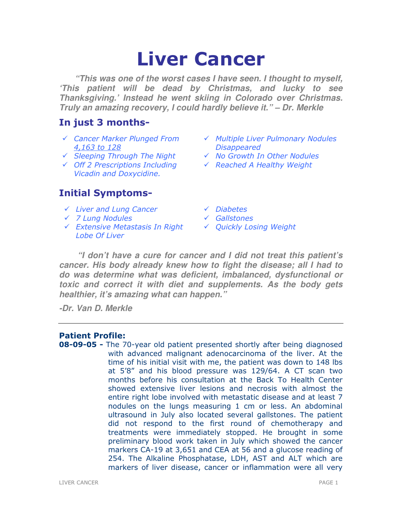# Liver Cancer

**"This was one of the worst cases I have seen. I thought to myself, 'This patient will be dead by Christmas, and lucky to see Thanksgiving.' Instead he went skiing in Colorado over Christmas. Truly an amazing recovery, I could hardly believe it." – Dr. Merkle** 

# In just 3 months-

- Cancer Marker Plunged From 4,163 to 128
- 
- Off 2 Prescriptions Including Vicadin and Doxycidine.

# Initial Symptoms-

- $\checkmark$  Liver and Lung Cancer  $\checkmark$  Diabetes
- 7 Lung Nodules Gallstones
- Extensive Metastasis In Right Lobe Of Liver
- $\checkmark$  Multiple Liver Pulmonary Nodules **Disappeared**
- $\checkmark$  Sleeping Through The Night  $\checkmark$  No Growth In Other Nodules
	- $\checkmark$  Reached A Healthy Weight
	-
	-
	- Quickly Losing Weight

**"I don't have a cure for cancer and I did not treat this patient's cancer. His body already knew how to fight the disease; all I had to do was determine what was deficient, imbalanced, dysfunctional or toxic and correct it with diet and supplements. As the body gets healthier, it's amazing what can happen."** 

**-Dr. Van D. Merkle** 

# Patient Profile:

**08-09-05 -** The 70-year old patient presented shortly after being diagnosed with advanced malignant adenocarcinoma of the liver. At the time of his initial visit with me, the patient was down to 148 lbs at 5'8" and his blood pressure was 129/64. A CT scan two months before his consultation at the Back To Health Center showed extensive liver lesions and necrosis with almost the entire right lobe involved with metastatic disease and at least 7 nodules on the lungs measuring 1 cm or less. An abdominal ultrasound in July also located several gallstones. The patient did not respond to the first round of chemotherapy and treatments were immediately stopped. He brought in some preliminary blood work taken in July which showed the cancer markers CA-19 at 3,651 and CEA at 56 and a glucose reading of 254. The Alkaline Phosphatase, LDH, AST and ALT which are markers of liver disease, cancer or inflammation were all very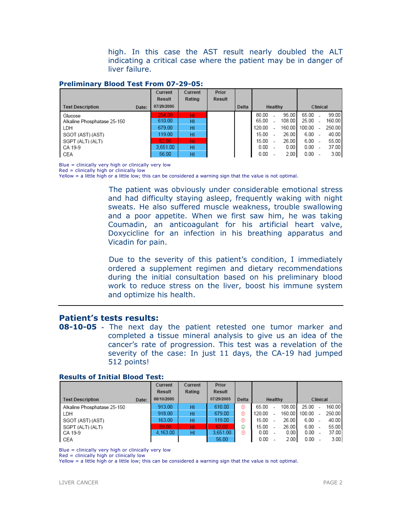high. In this case the AST result nearly doubled the ALT indicating a critical case where the patient may be in danger of liver failure.

#### Preliminary Blood Test From 07-29-05:

|                             |       | Current    | Current | Prior         |       |        |         |          |            |  |        |
|-----------------------------|-------|------------|---------|---------------|-------|--------|---------|----------|------------|--|--------|
|                             |       | Result     | Rating  | <b>Result</b> |       |        |         |          |            |  |        |
| <b>Test Description</b>     | Date: | 07/29/2005 |         |               | Delta |        | Healthy | Clinical |            |  |        |
| Glucose                     |       | 254.00     | ΗI      |               |       | 80.00  |         | 95.00    | 65.00      |  | 99.00  |
| Alkaline Phosphatase 25-150 |       | 610.00     | HI      |               |       | 65.00  |         | 108.00   | 25.00      |  | 160.00 |
| LDH                         |       | 679.00     | HI      |               |       | 120.00 |         | 160.00   | $100.00 -$ |  | 250.00 |
| SGOT (AST) (AST)            |       | 119.00     | HI      |               |       | 15.00  |         | 26.00    | $6.00 -$   |  | 40.00  |
| SGPT (ALT) (ALT)            |       | 62.00      | HI.     |               |       | 15.00  |         | 26.00    | $6.00 -$   |  | 55.00  |
| CA 19-9                     |       | 3.651.00   | HI      |               |       | 0.00   |         | 0.00     | 0.00       |  | 37.00  |
| CEA                         |       | 56.00      | HI      |               |       | 0.00   |         | 2.00     | $0.00 -$   |  | 3.00   |

Blue = clinically very high or clinically very low

Red = clinically high or clinically low

Yellow = a little high or a little low; this can be considered a warning sign that the value is not optimal.

 The patient was obviously under considerable emotional stress and had difficulty staying asleep, frequently waking with night sweats. He also suffered muscle weakness, trouble swallowing and a poor appetite. When we first saw him, he was taking Coumadin, an anticoagulant for his artificial heart valve, Doxycicline for an infection in his breathing apparatus and Vicadin for pain.

 Due to the severity of this patient's condition, I immediately ordered a supplement regimen and dietary recommendations during the initial consultation based on his preliminary blood work to reduce stress on the liver, boost his immune system and optimize his health.

# Patient's tests results:

**08-10-05** - The next day the patient retested one tumor marker and completed a tissue mineral analysis to give us an idea of the cancer's rate of progression. This test was a revelation of the severity of the case: In just 11 days, the CA-19 had jumped 512 points!

|                             |       | Current            | Current | Prior      |       |        |         |          |          |  |        |
|-----------------------------|-------|--------------------|---------|------------|-------|--------|---------|----------|----------|--|--------|
|                             |       | Result             | Rating  | Result     |       |        |         |          |          |  |        |
| <b>Test Description</b>     | Date: | 08/10/2005         |         | 07/29/2005 | Delta |        | Healthy | Clinical |          |  |        |
| Alkaline Phosphatase 25-150 |       | 913.00             | HI      | 610.00     | ⊛     | 65.00  |         | 108.00   | 25.00    |  | 160.00 |
| LDH                         |       | 918.00             | HI      | 679.00     | ⊛     | 120.00 |         | 160.00   | 100.00   |  | 250.00 |
| SGOT (AST) (AST)            |       | 163.00             | HI      | 119.00     | ⊛     | 15.00  |         | 26.00    | $6.00 -$ |  | 40.00  |
| SGPT (ALT) (ALT)            |       | 59.00 <sub>1</sub> | нг      | 62.00      | ٧     | 15.00  |         | 26.00    | $6.00 -$ |  | 55.00  |
| CA 19-9                     |       | 4.163.00           | HI      | 3,651.00   | ⊛     | 0.00   |         | 0.00     | 0.00     |  | 37.00  |
| CEA                         |       |                    |         | 56.00      |       | 0.00   |         | 2.00     | 0.00     |  | 3.00   |

#### Results of Initial Blood Test:

Blue = clinically very high or clinically very low

Red = clinically high or clinically low

Yellow = a little high or a little low; this can be considered a warning sign that the value is not optimal.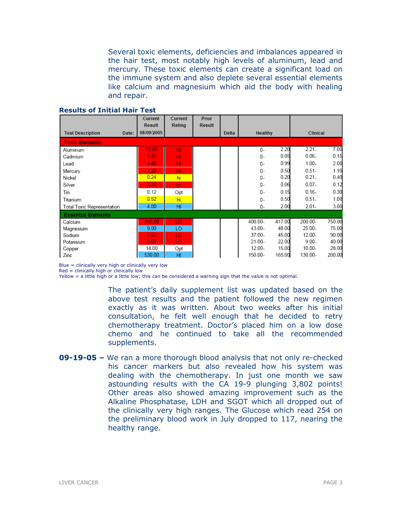Several toxic elements, deficiencies and imbalances appeared in the hair test, most notably high levels of aluminum, lead and mercury. These toxic elements can create a significant load on the immune system and also deplete several essential elements like calcium and magnesium which aid the body with healing and repair.

|                                  | Current<br><b>Result</b> | Current<br>Rating | Prior<br><b>Result</b> |       |           |        |           |        |
|----------------------------------|--------------------------|-------------------|------------------------|-------|-----------|--------|-----------|--------|
| <b>Test Description</b><br>Date: | 08/09/2005               |                   |                        | Delta | Healthy   |        | Clinical  |        |
| <b>Toxic Elements</b>            |                          |                   |                        |       |           |        |           |        |
| Aluminum                         | 15.00                    | HI                |                        |       | $0 -$     | 2.20   | $2.21 -$  | 7.00   |
| Cadmium                          | 0.24                     | HI                |                        |       | 0-        | 0.05   | $0.06 -$  | 0.15   |
| Lead                             | 4.40                     | HI                |                        |       | 0-        | 0.99   | $1.00 -$  | 2.00   |
| Mercury                          | 1.20                     | HI                |                        |       | 0-        | 0.50   | $0.51 -$  | 1.10   |
| Nickel                           | 0.24                     | hi                |                        |       | $0 -$     | 0.20   | $0.21 -$  | 0.40   |
| Silver                           | 0.30                     | HI                |                        |       | 0-        | 0.06   | $0.07 -$  | 0.12   |
| Tin                              | 0.12                     | Opt               |                        |       | $0-$      | 0.15   | $0.16 -$  | 0.30   |
| Titanium                         | 0.52                     | hi                |                        |       | $0-$      | 0.50   | $0.51 -$  | 1.00   |
| Total Toxic Representation       | 4.00                     | HI                |                        |       | 0-        | 2.00   | $2.01 -$  | 3.00   |
| <b>Essential Elements</b>        |                          |                   |                        |       |           |        |           |        |
| Calcium                          | 155.00                   | LO.               |                        |       | 400.00-   | 417.00 | 200.00-   | 750.00 |
| Magnesium                        | 9.00                     | LO                |                        |       | 43.00-    | 48.00  | 25.00-    | 75.00  |
| Sodium                           | 7.00                     | LO.               |                        |       | 37.00-    | 45.00  | 12.00-    | 90.00  |
| Potassium                        | 9.00 <sub>1</sub>        | LO.               |                        |       | 21.00-    | 22.00  | $9.00 -$  | 40.00  |
| Copper                           | 14.00                    | Opt               |                        |       | $12.00 -$ | 15.00  | $10.00 -$ | 28.00  |
| Zinc                             | 530.00                   | HI                |                        |       | 150.00-   | 165.00 | 130.00-   | 200.00 |

#### Results of Initial Hair Test

Blue = clinically very high or clinically very low

Red = clinically high or clinically low

Yellow = a little high or a little low; this can be considered a warning sign that the value is not optimal.

The patient's daily supplement list was updated based on the above test results and the patient followed the new regimen exactly as it was written. About two weeks after his initial consultation, he felt well enough that he decided to retry chemotherapy treatment. Doctor's placed him on a low dose chemo and he continued to take all the recommended supplements.

09-19-05 – We ran a more thorough blood analysis that not only re-checked his cancer markers but also revealed how his system was dealing with the chemotherapy. In just one month we saw astounding results with the CA 19-9 plunging 3,802 points! Other areas also showed amazing improvement such as the Alkaline Phosphatase, LDH and SGOT which all dropped out of the clinically very high ranges. The Glucose which read 254 on the preliminary blood work in July dropped to 117, nearing the healthy range.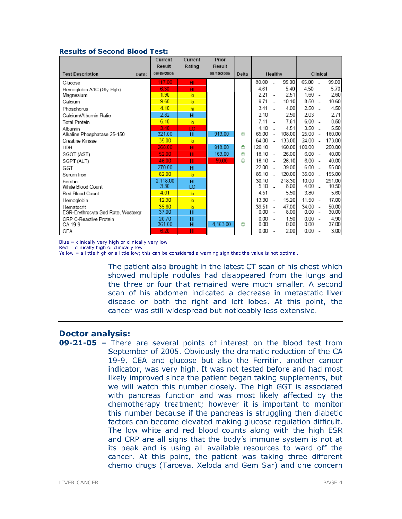#### Results of Second Blood Test:

|                                    | Current<br><b>Result</b> | Current<br>Rating | Prior<br><b>Result</b> |       |         |                          |          |           |                          |        |
|------------------------------------|--------------------------|-------------------|------------------------|-------|---------|--------------------------|----------|-----------|--------------------------|--------|
| <b>Test Description</b><br>Date:   | 09/19/2005               |                   | 08/10/2005             | Delta | Healthy |                          | Clinical |           |                          |        |
| Glucose                            | 117.00                   | HI.               |                        |       | 80.00   | ÷.                       | 95.00    | 65.00 -   |                          | 99.00  |
| Hemoglobin A1C (Gly-Hgh)           | 6.30                     | HI                |                        |       | 4.61    | $\overline{a}$           | 5.40     | $4.50 -$  |                          | 5.70   |
| Magnesium                          | 1.90                     | lo.               |                        |       | 2.21    |                          | 2.51     | $1.60 -$  |                          | 2.60   |
| Calcium                            | 9.60                     | lo.               |                        |       | 9.71    | $\mathbf{r}$             | 10.10    | $8.50 -$  |                          | 10.60  |
| Phosphorus                         | 4.10                     | hi                |                        |       | 3.41    |                          | 4.00     | $2.50 -$  |                          | 4.50   |
| Calcium/Albumin Ratio              | 2.82                     | HI                |                        |       | 2.10    |                          | 2.50     | 2.03      | $\overline{a}$           | 2.71   |
| <b>Total Protein</b>               | 6.10                     | $\overline{a}$    |                        |       | 7.11    |                          | 7.61     | 6.00      | ÷.                       | 8.50   |
| Albumin                            | 3.40                     | TО                |                        |       | 4.10    |                          | 4.51     | $3.50 -$  |                          | 5.50   |
| Alkaline Phosphatase 25-150        | 321.00                   | HI                | 913.00                 | ☺     | 65.00   | $\overline{\phantom{a}}$ | 108.00   | 25.00     | $\overline{\phantom{a}}$ | 160.00 |
| Creatine Kinase                    | 35.00                    | lo.               |                        |       | 64.00   | $\sim$                   | 133.00   | $24.00 -$ |                          | 173.00 |
| LDH                                | 268.00                   | HI                | 918.00                 | ☺     | 120.10  | $\sim$                   | 160.00   | 100.00    | $\overline{\phantom{a}}$ | 250.00 |
| SGOT (AST)                         | 52.00                    | HI                | 163.00                 | ☺     | 18.10   | $\sim$                   | 26.00    | $6.00 -$  |                          | 40.00  |
| SGPT (ALT)                         | 46.00                    | HI                | 59.00                  | ☺     | 18.10   | - 1                      | 26.10    | 6.00      | $\overline{a}$           | 40.00  |
| GGT                                | 270.00                   | HI                |                        |       | 22.00   | $\overline{\phantom{a}}$ | 39.00    | 6.00      | $\overline{\phantom{a}}$ | 55.00  |
| Serum Iron                         | 82.00                    | lo.               |                        |       | 85.10   | $\sim$                   | 120.00   | $35.00 -$ |                          | 155.00 |
| Ferritin                           | 2.118.00                 | HI                |                        |       | 30.10   | $\sim$                   | 218.30   | 10.00     | $\overline{a}$           | 291.00 |
| White Blood Count                  | 3.30                     | LO                |                        |       | 5.10    | $\sim$                   | 8.00     | $4.00 -$  |                          | 10.50  |
| Red Blood Count                    | 4.01                     | $\overline{a}$    |                        |       | 4.51    |                          | 5.50     | $3.80 -$  |                          | 5.60   |
| Hemoglobin                         | 12.30                    | lo.               |                        |       | 13.30   | ÷.                       | 15.20    | 11.50     | $\sim$                   | 17.00  |
| Hematocrit                         | 35.60                    | lo.               |                        |       | 39.51   |                          | 47.00    | $34.00 -$ |                          | 50.00  |
| ESR-Erythrocyte Sed Rate, Westergr | 37.00                    | HI                |                        |       | 0.00    | $\overline{\phantom{a}}$ | 8.00     | $0.00 -$  |                          | 30.00  |
| CRP C-Reactive Protein             | 20.70                    | HI                |                        |       | 0.00    |                          | 1.50     | $0.00 -$  |                          | 4.90   |
| CA 19-9                            | 361.00                   | HI                | 4,163.00               | ☺     | 0.00    |                          | 0.00     | $0.00 -$  |                          | 37.00  |
| CEA                                | 6.20                     | HI                |                        |       | 0.00    |                          | 2.00     | 0.00      | $\overline{\phantom{a}}$ | 3.00   |

Blue = clinically very high or clinically very low Red = clinically high or clinically low

Yellow = a little high or a little low; this can be considered a warning sign that the value is not optimal.

The patient also brought in the latest CT scan of his chest which showed multiple nodules had disappeared from the lungs and the three or four that remained were much smaller. A second scan of his abdomen indicated a decrease in metastatic liver disease on both the right and left lobes. At this point, the cancer was still widespread but noticeably less extensive.

### Doctor analysis:

09-21-05 – There are several points of interest on the blood test from September of 2005. Obviously the dramatic reduction of the CA 19-9, CEA and glucose but also the Ferritin, another cancer indicator, was very high. It was not tested before and had most likely improved since the patient began taking supplements, but we will watch this number closely. The high GGT is associated with pancreas function and was most likely affected by the chemotherapy treatment; however it is important to monitor this number because if the pancreas is struggling then diabetic factors can become elevated making glucose regulation difficult. The low white and red blood counts along with the high ESR and CRP are all signs that the body's immune system is not at its peak and is using all available resources to ward off the cancer. At this point, the patient was taking three different chemo drugs (Tarceva, Xeloda and Gem Sar) and one concern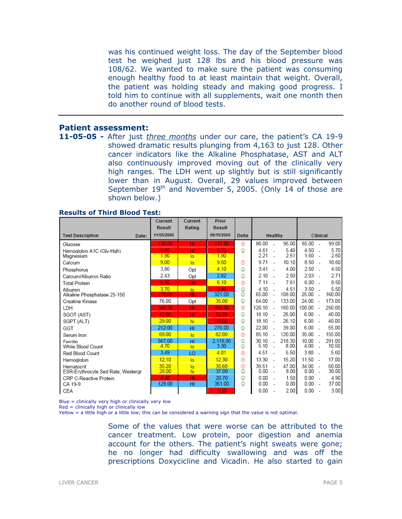was his continued weight loss. The day of the September blood test he weighed just 128 lbs and his blood pressure was 108/62. We wanted to make sure the patient was consuming enough healthy food to at least maintain that weight. Overall, the patient was holding steady and making good progress. I told him to continue with all supplements, wait one month then do another round of blood tests.

# Patient assessment:

11-05-05 - After just *three months* under our care, the patient's CA 19-9 showed dramatic results plunging from 4,163 to just 128. Other cancer indicators like the Alkaline Phosphatase, AST and ALT also continuously improved moving out of the clinically very high ranges. The LDH went up slightly but is still significantly lower than in August. Overall, 29 values improved between September  $19<sup>th</sup>$  and November 5, 2005. (Only 14 of those are shown below.)

|                                    | Current<br><b>Result</b> | Current<br>Rating | Prior<br><b>Result</b> |       |         |                          |          |          |                          |        |
|------------------------------------|--------------------------|-------------------|------------------------|-------|---------|--------------------------|----------|----------|--------------------------|--------|
| <b>Test Description</b><br>Date:   | 11/05/2005               |                   | 09/19/2005             | Delta | Healthy |                          | Clinical |          |                          |        |
| Glucose                            | 130.00                   | HI                | 117.00                 | ⊛     | 80.00   |                          | 95.00    | 65.00    | $\overline{a}$           | 99.00  |
| Hemoglobin A1C (Gly-Hgh)           | 5.80                     | HI                | 6.30                   | ٥     | 4.61    | $\overline{a}$           | 5.40     | 4.50     | ÷.                       | 5.70   |
| Magnesium                          | 1.90                     | lo                | 1.90                   | ⊜     | 2.21    |                          | 2.51     | 1.60     | $\overline{\phantom{a}}$ | 2.60   |
| Calcium                            | 9.00                     | $\overline{a}$    | 9.60                   | ම     | 9.71    | $\overline{a}$           | 10.10    | $8.50 -$ |                          | 10.60  |
| Phosphorus                         | 3.80                     | Opt               | 4.10                   | ٥     | 3.41    | $\overline{a}$           | 4.00     | $2.50 -$ |                          | 4.50   |
| Calcium/Albumin Ratio              | 2.43                     | Opt               | 2.82                   | ٨     | 2.10    |                          | 2.50     | $2.03 -$ |                          | 2.71   |
| Total Protein                      | 5.90                     | ТO                | 6.10                   | ⊛     | 7.11    |                          | 7.61     | 6.00     |                          | 8.50   |
| Albumin                            | 3.70                     | $\overline{a}$    | 3.40                   | 0     | 4.10    |                          | 4.51     | 3.50     | $\overline{a}$           | 5.50   |
| Alkaline Phosphatase 25-150        | 178.00                   | HI                | 321.00                 | ٨     | 65.00   |                          | 108.00   | 25.00    | $\overline{\phantom{a}}$ | 160.00 |
| Creatine Kinase                    | 76.00                    | Opt               | 35.00                  | ٥     | 64.00   | $\overline{a}$           | 133.00   | 24.00    | ÷                        | 173.00 |
| LDH                                | 388.00                   | HI                | 268.00                 | ⊛     | 120.10  | $\overline{a}$           | 160.00   | 100.00   | $\overline{\phantom{a}}$ | 250.00 |
| SGOT (AST)                         | 43.00                    | HI                | 52.00                  | ٥     | 18.10   | $\overline{\phantom{a}}$ | 26.00    | 6.00     | $\overline{\phantom{a}}$ | 40.00  |
| SGPT (ALT)                         | 29.00                    | hi                | 46.00                  | ٥     | 18.10   | $\overline{a}$           | 26.10    | 6.00     | $\overline{\phantom{a}}$ | 40.00  |
| GGT                                | 212.00                   | HI                | 270.00                 | ٥     | 22.00   |                          | 39.00    | 6.00     | $\overline{\phantom{a}}$ | 55.00  |
| Serum Iron                         | 69.00                    | $\overline{a}$    | 82.00                  | ⊛     | 85.10   | $\overline{a}$           | 120.00   | 35.00    | $\sim$                   | 155.00 |
| Ferritin                           | 567.00                   | HI                | 2.118.00               | o     | 30.10   |                          | 218.30   | 10.00    |                          | 291.00 |
| White Blood Count                  | 4.70                     | $\overline{a}$    | 3.30                   | ٥     | 5.10    | $\sim$                   | 8.00     | 4.00     | $\overline{a}$           | 10.50  |
| Red Blood Count                    | 3.49                     | LO                | 4.01                   | ⊛     | 4.51    |                          | 5.50     | 3.80     | $\sim$                   | 5.60   |
| Hemoglobin                         | 12.10                    | lo                | 12.30                  | ම     | 13.30   |                          | 15.20    | 11.50    | $\sim$                   | 17.00  |
| Hematocrit                         | 35.20                    | lo                | 35.60                  | ම     | 39.51   | $\overline{\phantom{a}}$ | 47.00    | 34.00    | $\overline{\phantom{a}}$ | 50.00  |
| ESR-Erythrocyte Sed Rate, Westergr | 28.00                    | hi                | 37.00                  | ٥     | 0.00    | $\overline{\phantom{a}}$ | 8.00     | 0.00     | $\overline{\phantom{a}}$ | 30.00  |
| CRP C-Reactive Protein             | 6.40                     | HI                | 20.70                  | ٧     | 0.00    | $\sim$                   | 1.50     | 0.00     | $\sim$                   | 4.90   |
| CA 19-9                            | 128.00                   | HI                | 361.00                 | ٧     | 0.00    | $\overline{\phantom{a}}$ | 0.00     | $0.00 -$ |                          | 37.00  |
| CEA                                |                          |                   | 6.20                   |       | 0.00    |                          | 2.00     | 0.00     | $\overline{\phantom{a}}$ | 3.00   |

#### Results of Third Blood Test:

Blue = clinically very high or clinically very low

 $Red =$  clinically high or clinically low

Yellow = a little high or a little low; this can be considered a warning sign that the value is not optimal.

Some of the values that were worse can be attributed to the cancer treatment. Low protein, poor digestion and anemia account for the others. The patient's night sweats were gone; he no longer had difficulty swallowing and was off the prescriptions Doxycicline and Vicadin. He also started to gain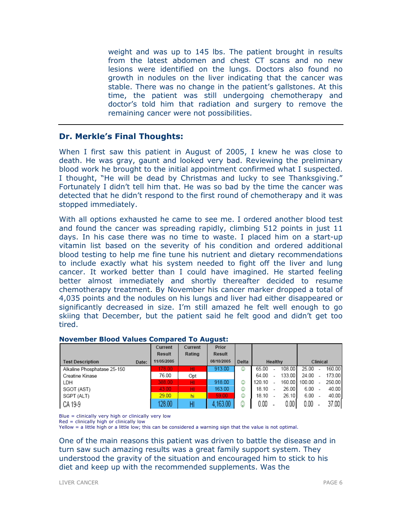weight and was up to 145 lbs. The patient brought in results from the latest abdomen and chest CT scans and no new lesions were identified on the lungs. Doctors also found no growth in nodules on the liver indicating that the cancer was stable. There was no change in the patient's gallstones. At this time, the patient was still undergoing chemotherapy and doctor's told him that radiation and surgery to remove the remaining cancer were not possibilities.

## Dr. Merkle's Final Thoughts:

When I first saw this patient in August of 2005, I knew he was close to death. He was gray, gaunt and looked very bad. Reviewing the preliminary blood work he brought to the initial appointment confirmed what I suspected. I thought, "He will be dead by Christmas and lucky to see Thanksgiving." Fortunately I didn't tell him that. He was so bad by the time the cancer was detected that he didn't respond to the first round of chemotherapy and it was stopped immediately.

With all options exhausted he came to see me. I ordered another blood test and found the cancer was spreading rapidly, climbing 512 points in just 11 days. In his case there was no time to waste. I placed him on a start-up vitamin list based on the severity of his condition and ordered additional blood testing to help me fine tune his nutrient and dietary recommendations to include exactly what his system needed to fight off the liver and lung cancer. It worked better than I could have imagined. He started feeling better almost immediately and shortly thereafter decided to resume chemotherapy treatment. By November his cancer marker dropped a total of 4,035 points and the nodules on his lungs and liver had either disappeared or significantly decreased in size. I'm still amazed he felt well enough to go skiing that December, but the patient said he felt good and didn't get too tired.

|                             |       | Current    | Current | Prior      |       |        |         |          |        |  |        |
|-----------------------------|-------|------------|---------|------------|-------|--------|---------|----------|--------|--|--------|
|                             |       | Result     | Rating  | Result     |       |        |         |          |        |  |        |
| <b>Test Description</b>     | Date: | 11/05/2005 |         | 08/10/2005 | Delta |        | Healthy | Clinical |        |  |        |
| Alkaline Phosphatase 25-150 |       | 178.00     | HI.     | 913.00     | ☺     | 65.00  |         | 108.00   | 25.00  |  | 160.00 |
| Creatine Kinase             |       | 76.00      | Opt     |            |       | 64.00  |         | 133.00   | 24.00  |  | 173.00 |
| LDH                         |       | 388.00     | HI      | 918.00     | ☺     | 120.10 |         | 160.00   | 100.00 |  | 250.00 |
| SGOT (AST)                  |       | 43.00      | HI.     | 163.00     | ☺     | 18.10  |         | 26.00    | 6.00   |  | 40.00  |
| SGPT (ALT)                  |       | 29.00      | hi      | 59.00      | ٨     | 18.10  |         | 26.10    | 6.00   |  | 40.00  |
| CA 19-9                     |       | 128.00     | Н       | .163.00    | 0     | 0.00   |         | 0.001    | 0.00   |  | 37.00  |

#### November Blood Values Compared To August:

Blue = clinically very high or clinically very low

Red = clinically high or clinically low

Yellow = a little high or a little low; this can be considered a warning sign that the value is not optimal.

One of the main reasons this patient was driven to battle the disease and in turn saw such amazing results was a great family support system. They understood the gravity of the situation and encouraged him to stick to his diet and keep up with the recommended supplements. Was the